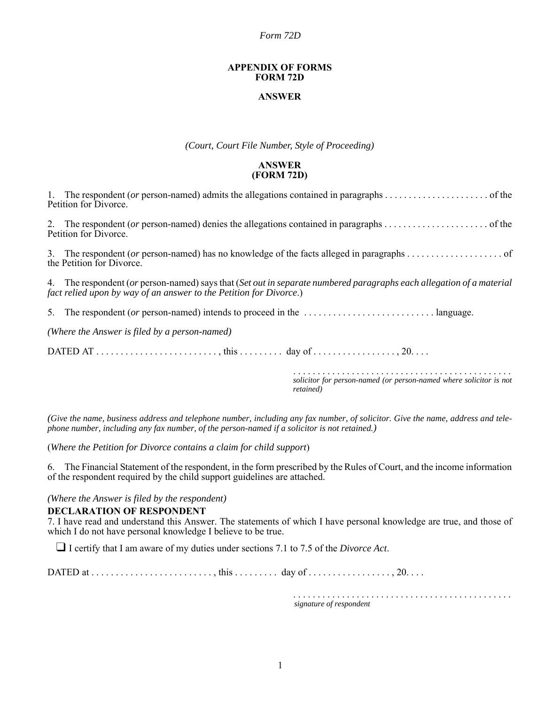*Form 72D*

#### **APPENDIX OF FORMS FORM 72D**

### **ANSWER**

*(Court, Court File Number, Style of Proceeding)*

### **ANSWER (FORM 72D)**

| Petition for Divorce.                                                                                                                                                                      |                           |                                                                                 |  |
|--------------------------------------------------------------------------------------------------------------------------------------------------------------------------------------------|---------------------------|---------------------------------------------------------------------------------|--|
|                                                                                                                                                                                            | Petition for Divorce.     |                                                                                 |  |
|                                                                                                                                                                                            | the Petition for Divorce. |                                                                                 |  |
| 4. The respondent (or person-named) says that (Set out in separate numbered paragraphs each allegation of a material<br>fact relied upon by way of an answer to the Petition for Divorce.) |                           |                                                                                 |  |
|                                                                                                                                                                                            |                           |                                                                                 |  |
| (Where the Answer is filed by a person-named)                                                                                                                                              |                           |                                                                                 |  |
|                                                                                                                                                                                            |                           |                                                                                 |  |
|                                                                                                                                                                                            |                           | solicitor for person-named (or person-named where solicitor is not<br>retained) |  |

*(Give the name, business address and telephone number, including any fax number, of solicitor. Give the name, address and telephone number, including any fax number, of the person-named if a solicitor is not retained.)*

(*Where the Petition for Divorce contains a claim for child support*)

6. The Financial Statement of the respondent, in the form prescribed by the Rules of Court, and the income information of the respondent required by the child support guidelines are attached.

*(Where the Answer is filed by the respondent)*

### **DECLARATION OF RESPONDENT**

7. I have read and understand this Answer. The statements of which I have personal knowledge are true, and those of which I do not have personal knowledge I believe to be true.

❑ I certify that I am aware of my duties under sections 7.1 to 7.5 of the *Divorce Act*.

DATED at  $\dots\dots\dots\dots\dots\dots\dots\dots\dots\dots$ , this  $\dots\dots\dots\dots\dots\dots\dots\dots\dots\dots\dots\dots\dots\dots\dots\dots$ 

. . . . . . . . . . . . . . . . . . . . . . . . . . . . . . . . . . . . . . . . . . . . . *signature of respondent*